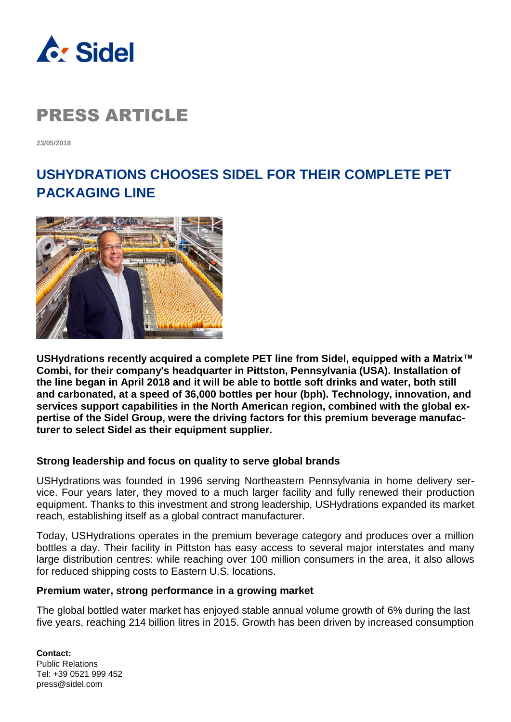

**23/05/2018**

### **USHYDRATIONS CHOOSES SIDEL FOR THEIR COMPLETE PET PACKAGING LINE**



**USHydrations recently acquired a complete PET line from Sidel, equipped with a Matrix™ Combi, for their company's headquarter in Pittston, Pennsylvania (USA). Installation of the line began in April 2018 and it will be able to bottle soft drinks and water, both still and carbonated, at a speed of 36,000 bottles per hour (bph). Technology, innovation, and services support capabilities in the North American region, combined with the global expertise of the Sidel Group, were the driving factors for this premium beverage manufacturer to select Sidel as their equipment supplier.**

### **Strong leadership and focus on quality to serve global brands**

USHydrations was founded in 1996 serving Northeastern Pennsylvania in home delivery service. Four years later, they moved to a much larger facility and fully renewed their production equipment. Thanks to this investment and strong leadership, USHydrations expanded its market reach, establishing itself as a global contract manufacturer.

Today, USHydrations operates in the premium beverage category and produces over a million bottles a day. Their facility in Pittston has easy access to several major interstates and many large distribution centres: while reaching over 100 million consumers in the area, it also allows for reduced shipping costs to Eastern U.S. locations.

### **Premium water, strong performance in a growing market**

The global bottled water market has enjoyed stable annual volume growth of 6% during the last five years, reaching 214 billion litres in 2015. Growth has been driven by increased consumption

**Contact:** Public Relations Tel: +39 0521 999 452 press@sidel.com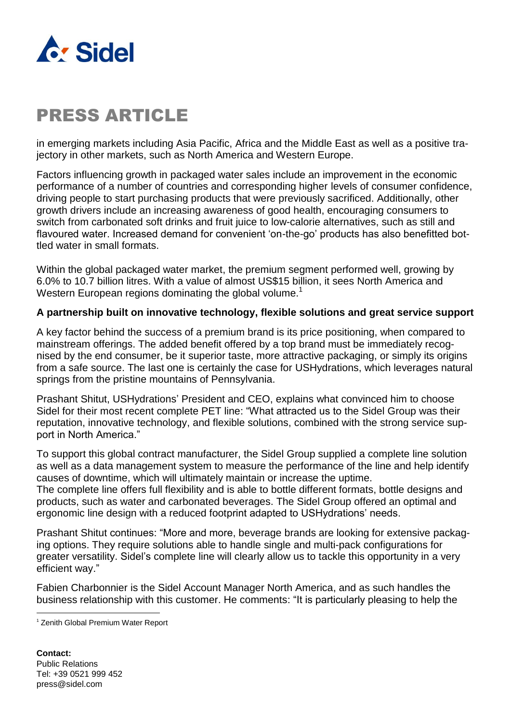

in emerging markets including Asia Pacific, Africa and the Middle East as well as a positive trajectory in other markets, such as North America and Western Europe.

Factors influencing growth in packaged water sales include an improvement in the economic performance of a number of countries and corresponding higher levels of consumer confidence, driving people to start purchasing products that were previously sacrificed. Additionally, other growth drivers include an increasing awareness of good health, encouraging consumers to switch from carbonated soft drinks and fruit juice to low-calorie alternatives, such as still and flavoured water. Increased demand for convenient 'on-the-go' products has also benefitted bottled water in small formats.

Within the global packaged water market, the premium segment performed well, growing by 6.0% to 10.7 billion litres. With a value of almost US\$15 billion, it sees North America and Western European regions dominating the global volume.<sup>1</sup>

### **A partnership built on innovative technology, flexible solutions and great service support**

A key factor behind the success of a premium brand is its price positioning, when compared to mainstream offerings. The added benefit offered by a top brand must be immediately recognised by the end consumer, be it superior taste, more attractive packaging, or simply its origins from a safe source. The last one is certainly the case for USHydrations, which leverages natural springs from the pristine mountains of Pennsylvania.

Prashant Shitut, USHydrations' President and CEO, explains what convinced him to choose Sidel for their most recent complete PET line: "What attracted us to the Sidel Group was their reputation, innovative technology, and flexible solutions, combined with the strong service support in North America."

To support this global contract manufacturer, the Sidel Group supplied a complete line solution as well as a data management system to measure the performance of the line and help identify causes of downtime, which will ultimately maintain or increase the uptime.

The complete line offers full flexibility and is able to bottle different formats, bottle designs and products, such as water and carbonated beverages. The Sidel Group offered an optimal and ergonomic line design with a reduced footprint adapted to USHydrations' needs.

Prashant Shitut continues: "More and more, beverage brands are looking for extensive packaging options. They require solutions able to handle single and multi-pack configurations for greater versatility. Sidel's complete line will clearly allow us to tackle this opportunity in a very efficient way."

Fabien Charbonnier is the Sidel Account Manager North America, and as such handles the business relationship with this customer. He comments: "It is particularly pleasing to help the

l

<sup>1</sup> Zenith Global Premium Water Report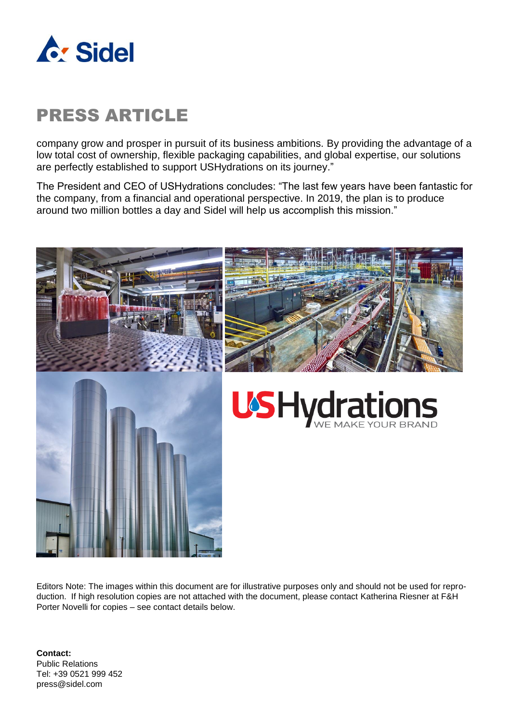

company grow and prosper in pursuit of its business ambitions. By providing the advantage of a low total cost of ownership, flexible packaging capabilities, and global expertise, our solutions are perfectly established to support USHydrations on its journey."

The President and CEO of USHydrations concludes: "The last few years have been fantastic for the company, from a financial and operational perspective. In 2019, the plan is to produce around two million bottles a day and Sidel will help us accomplish this mission."



Editors Note: The images within this document are for illustrative purposes only and should not be used for reproduction. If high resolution copies are not attached with the document, please contact Katherina Riesner at F&H Porter Novelli for copies – see contact details below.

**Contact:** Public Relations Tel: +39 0521 999 452 press@sidel.com